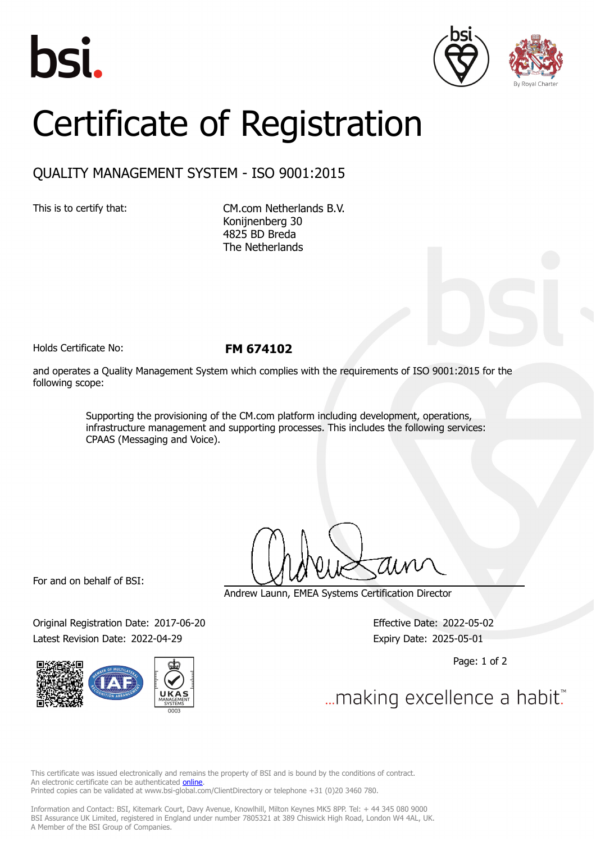





## Certificate of Registration

## QUALITY MANAGEMENT SYSTEM - ISO 9001:2015

This is to certify that: CM.com Netherlands B.V. Konijnenberg 30 4825 BD Breda The Netherlands

Holds Certificate No: **FM 674102**

and operates a Quality Management System which complies with the requirements of ISO 9001:2015 for the following scope:

> Supporting the provisioning of the CM.com platform including development, operations, infrastructure management and supporting processes. This includes the following services: CPAAS (Messaging and Voice).

For and on behalf of BSI:

Original Registration Date: 2017-06-20 Effective Date: 2022-05-02 Latest Revision Date: 2022-04-29 Expiry Date: 2025-05-01



Andrew Launn, EMEA Systems Certification Director

Page: 1 of 2

... making excellence a habit.

This certificate was issued electronically and remains the property of BSI and is bound by the conditions of contract. An electronic certificate can be authenticated **[online](https://pgplus.bsigroup.com/CertificateValidation/CertificateValidator.aspx?CertificateNumber=FM+674102&ReIssueDate=29%2f04%2f2022&Template=cemea_en)**. Printed copies can be validated at www.bsi-global.com/ClientDirectory or telephone +31 (0)20 3460 780.

Information and Contact: BSI, Kitemark Court, Davy Avenue, Knowlhill, Milton Keynes MK5 8PP. Tel: + 44 345 080 9000 BSI Assurance UK Limited, registered in England under number 7805321 at 389 Chiswick High Road, London W4 4AL, UK. A Member of the BSI Group of Companies.